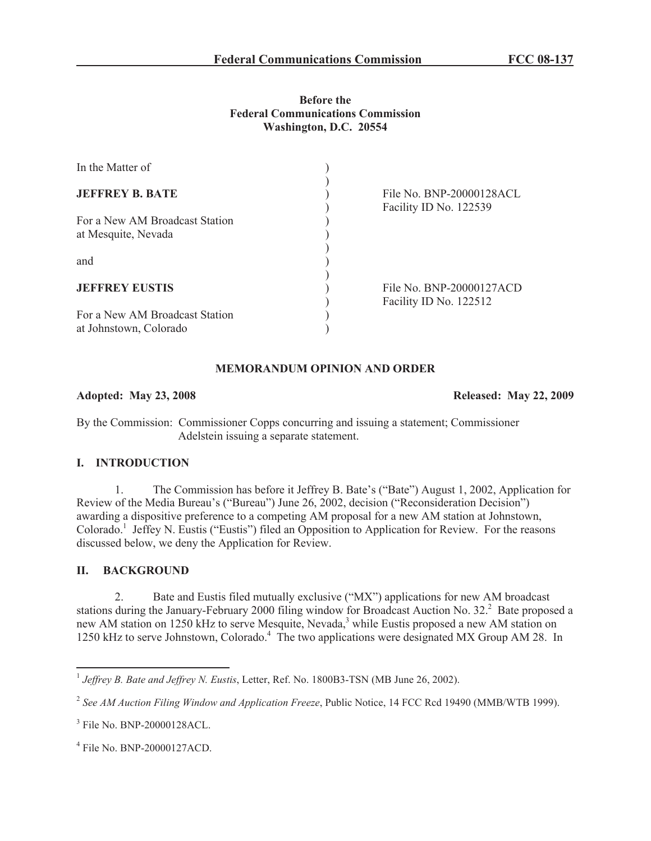## **Before the Federal Communications Commission Washington, D.C. 20554**

| In the Matter of                                         |                                                    |
|----------------------------------------------------------|----------------------------------------------------|
| <b>JEFFREY B. BATE</b>                                   | File No. BNP-20000128ACL<br>Facility ID No. 122539 |
| For a New AM Broadcast Station<br>at Mesquite, Nevada    |                                                    |
| and                                                      |                                                    |
| <b>JEFFREY EUSTIS</b>                                    | File No. BNP-20000127ACD<br>Facility ID No. 122512 |
| For a New AM Broadcast Station<br>at Johnstown, Colorado |                                                    |

# **MEMORANDUM OPINION AND ORDER**

#### **Adopted: May 23, 2008 Released: May 22, 2009**

By the Commission: Commissioner Copps concurring and issuing a statement; Commissioner Adelstein issuing a separate statement.

#### **I. INTRODUCTION**

1. The Commission has before it Jeffrey B. Bate's ("Bate") August 1, 2002, Application for Review of the Media Bureau's ("Bureau") June 26, 2002, decision ("Reconsideration Decision") awarding a dispositive preference to a competing AM proposal for a new AM station at Johnstown, Colorado.<sup>1</sup> Jeffey N. Eustis ("Eustis") filed an Opposition to Application for Review. For the reasons discussed below, we deny the Application for Review.

# **II. BACKGROUND**

2. Bate and Eustis filed mutually exclusive ("MX") applications for new AM broadcast stations during the January-February 2000 filing window for Broadcast Auction No.  $32<sup>2</sup>$  Bate proposed a new AM station on 1250 kHz to serve Mesquite, Nevada,<sup>3</sup> while Eustis proposed a new AM station on 1250 kHz to serve Johnstown, Colorado.<sup>4</sup> The two applications were designated MX Group AM 28. In

<sup>1</sup> *Jeffrey B. Bate and Jeffrey N. Eustis*, Letter, Ref. No. 1800B3-TSN (MB June 26, 2002).

<sup>2</sup> *See AM Auction Filing Window and Application Freeze*, Public Notice, 14 FCC Rcd 19490 (MMB/WTB 1999).

<sup>3</sup> File No. BNP-20000128ACL.

<sup>4</sup> File No. BNP-20000127ACD.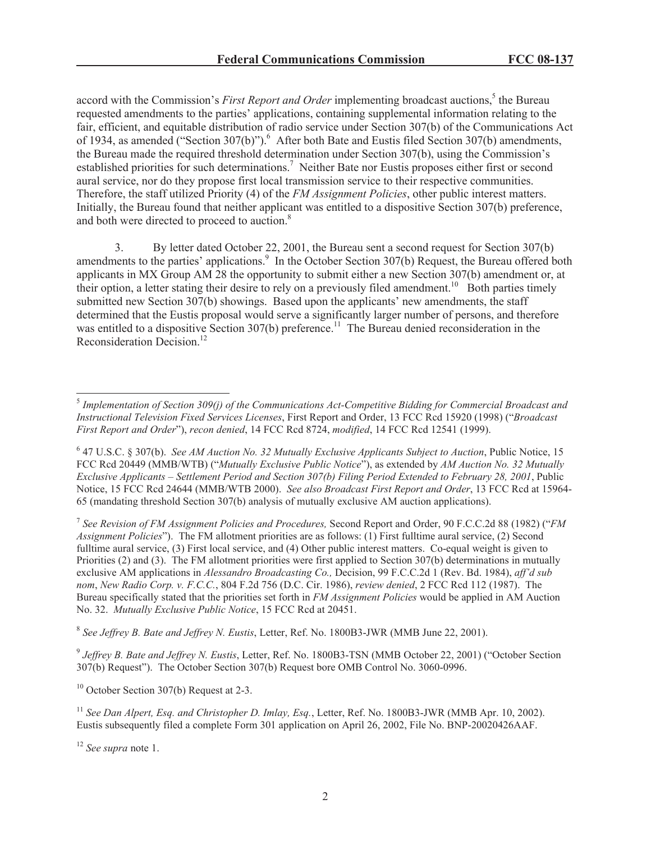accord with the Commission's *First Report and Order* implementing broadcast auctions,<sup>5</sup> the Bureau requested amendments to the parties' applications, containing supplemental information relating to the fair, efficient, and equitable distribution of radio service under Section 307(b) of the Communications Act of 1934, as amended ("Section 307(b)").<sup>6</sup> After both Bate and Eustis filed Section 307(b) amendments, the Bureau made the required threshold determination under Section 307(b), using the Commission's established priorities for such determinations.<sup>7</sup> Neither Bate nor Eustis proposes either first or second aural service, nor do they propose first local transmission service to their respective communities. Therefore, the staff utilized Priority (4) of the *FM Assignment Policies*, other public interest matters. Initially, the Bureau found that neither applicant was entitled to a dispositive Section 307(b) preference, and both were directed to proceed to auction.<sup>8</sup>

3. By letter dated October 22, 2001, the Bureau sent a second request for Section 307(b) amendments to the parties' applications.<sup>9</sup> In the October Section 307(b) Request, the Bureau offered both applicants in MX Group AM 28 the opportunity to submit either a new Section 307(b) amendment or, at their option, a letter stating their desire to rely on a previously filed amendment.<sup>10</sup> Both parties timely submitted new Section 307(b) showings. Based upon the applicants' new amendments, the staff determined that the Eustis proposal would serve a significantly larger number of persons, and therefore was entitled to a dispositive Section 307(b) preference.<sup>11</sup> The Bureau denied reconsideration in the Reconsideration Decision.<sup>12</sup>

7 *See Revision of FM Assignment Policies and Procedures,* Second Report and Order, 90 F.C.C.2d 88 (1982) ("*FM Assignment Policies*"). The FM allotment priorities are as follows: (1) First fulltime aural service, (2) Second fulltime aural service, (3) First local service, and (4) Other public interest matters. Co-equal weight is given to Priorities (2) and (3). The FM allotment priorities were first applied to Section 307(b) determinations in mutually exclusive AM applications in *Alessandro Broadcasting Co.,* Decision, 99 F.C.C.2d 1 (Rev. Bd. 1984), *aff'd sub nom*, *New Radio Corp. v. F.C.C.*, 804 F.2d 756 (D.C. Cir. 1986), *review denied*, 2 FCC Rcd 112 (1987). The Bureau specifically stated that the priorities set forth in *FM Assignment Policies* would be applied in AM Auction No. 32. *Mutually Exclusive Public Notice*, 15 FCC Rcd at 20451.

8 *See Jeffrey B. Bate and Jeffrey N. Eustis*, Letter, Ref. No. 1800B3-JWR (MMB June 22, 2001).

9 *Jeffrey B. Bate and Jeffrey N. Eustis*, Letter, Ref. No. 1800B3-TSN (MMB October 22, 2001) ("October Section 307(b) Request"). The October Section 307(b) Request bore OMB Control No. 3060-0996.

<sup>10</sup> October Section 307(b) Request at 2-3.

<sup>11</sup> *See Dan Alpert, Esq. and Christopher D. Imlay, Esq.*, Letter, Ref. No. 1800B3-JWR (MMB Apr. 10, 2002). Eustis subsequently filed a complete Form 301 application on April 26, 2002, File No. BNP-20020426AAF.

<sup>5</sup> *Implementation of Section 309(j) of the Communications Act-Competitive Bidding for Commercial Broadcast and Instructional Television Fixed Services Licenses*, First Report and Order, 13 FCC Rcd 15920 (1998) ("*Broadcast First Report and Order*"), *recon denied*, 14 FCC Rcd 8724, *modified*, 14 FCC Rcd 12541 (1999).

<sup>6</sup> 47 U.S.C. § 307(b). *See AM Auction No. 32 Mutually Exclusive Applicants Subject to Auction*, Public Notice, 15 FCC Rcd 20449 (MMB/WTB) ("*Mutually Exclusive Public Notice*"), as extended by *AM Auction No. 32 Mutually Exclusive Applicants – Settlement Period and Section 307(b) Filing Period Extended to February 28, 2001*, Public Notice, 15 FCC Rcd 24644 (MMB/WTB 2000). *See also Broadcast First Report and Order*, 13 FCC Rcd at 15964- 65 (mandating threshold Section 307(b) analysis of mutually exclusive AM auction applications).

<sup>12</sup> *See supra* note 1.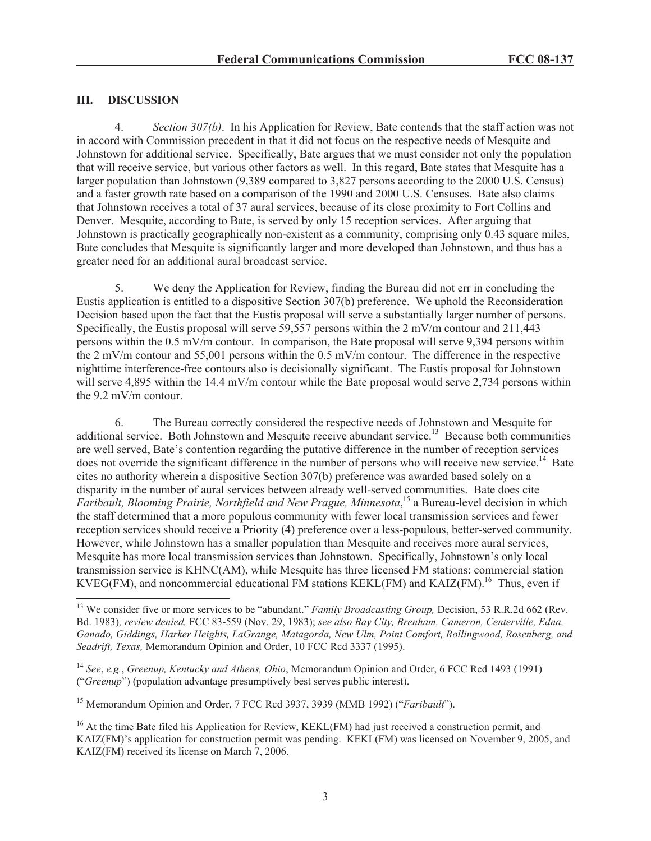## **III. DISCUSSION**

4. *Section 307(b)*. In his Application for Review, Bate contends that the staff action was not in accord with Commission precedent in that it did not focus on the respective needs of Mesquite and Johnstown for additional service. Specifically, Bate argues that we must consider not only the population that will receive service, but various other factors as well. In this regard, Bate states that Mesquite has a larger population than Johnstown (9,389 compared to 3,827 persons according to the 2000 U.S. Census) and a faster growth rate based on a comparison of the 1990 and 2000 U.S. Censuses. Bate also claims that Johnstown receives a total of 37 aural services, because of its close proximity to Fort Collins and Denver. Mesquite, according to Bate, is served by only 15 reception services. After arguing that Johnstown is practically geographically non-existent as a community, comprising only 0.43 square miles, Bate concludes that Mesquite is significantly larger and more developed than Johnstown, and thus has a greater need for an additional aural broadcast service.

5. We deny the Application for Review, finding the Bureau did not err in concluding the Eustis application is entitled to a dispositive Section 307(b) preference. We uphold the Reconsideration Decision based upon the fact that the Eustis proposal will serve a substantially larger number of persons. Specifically, the Eustis proposal will serve 59,557 persons within the 2 mV/m contour and 211,443 persons within the 0.5 mV/m contour. In comparison, the Bate proposal will serve 9,394 persons within the 2 mV/m contour and 55,001 persons within the 0.5 mV/m contour. The difference in the respective nighttime interference-free contours also is decisionally significant. The Eustis proposal for Johnstown will serve 4,895 within the 14.4 mV/m contour while the Bate proposal would serve 2,734 persons within the 9.2 mV/m contour.

6. The Bureau correctly considered the respective needs of Johnstown and Mesquite for additional service. Both Johnstown and Mesquite receive abundant service.<sup>13</sup> Because both communities are well served, Bate's contention regarding the putative difference in the number of reception services does not override the significant difference in the number of persons who will receive new service.<sup>14</sup> Bate cites no authority wherein a dispositive Section 307(b) preference was awarded based solely on a disparity in the number of aural services between already well-served communities. Bate does cite *Faribault, Blooming Prairie, Northfield and New Prague, Minnesota*, <sup>15</sup> a Bureau-level decision in which the staff determined that a more populous community with fewer local transmission services and fewer reception services should receive a Priority (4) preference over a less-populous, better-served community. However, while Johnstown has a smaller population than Mesquite and receives more aural services, Mesquite has more local transmission services than Johnstown. Specifically, Johnstown's only local transmission service is KHNC(AM), while Mesquite has three licensed FM stations: commercial station KVEG(FM), and noncommercial educational FM stations KEKL(FM) and KAIZ(FM).<sup>16</sup> Thus, even if

<sup>&</sup>lt;sup>13</sup> We consider five or more services to be "abundant." *Family Broadcasting Group*, Decision, 53 R.R.2d 662 (Rev. Bd. 1983)*, review denied,* FCC 83-559 (Nov. 29, 1983); *see also Bay City, Brenham, Cameron, Centerville, Edna, Ganado, Giddings, Harker Heights, LaGrange, Matagorda, New Ulm, Point Comfort, Rollingwood, Rosenberg, and Seadrift, Texas,* Memorandum Opinion and Order, 10 FCC Rcd 3337 (1995).

<sup>14</sup> *See*, *e.g.*, *Greenup, Kentucky and Athens, Ohio*, Memorandum Opinion and Order, 6 FCC Rcd 1493 (1991) ("*Greenup*") (population advantage presumptively best serves public interest).

<sup>15</sup> Memorandum Opinion and Order, 7 FCC Rcd 3937, 3939 (MMB 1992) ("*Faribault*").

<sup>&</sup>lt;sup>16</sup> At the time Bate filed his Application for Review, KEKL(FM) had just received a construction permit, and KAIZ(FM)'s application for construction permit was pending. KEKL(FM) was licensed on November 9, 2005, and KAIZ(FM) received its license on March 7, 2006.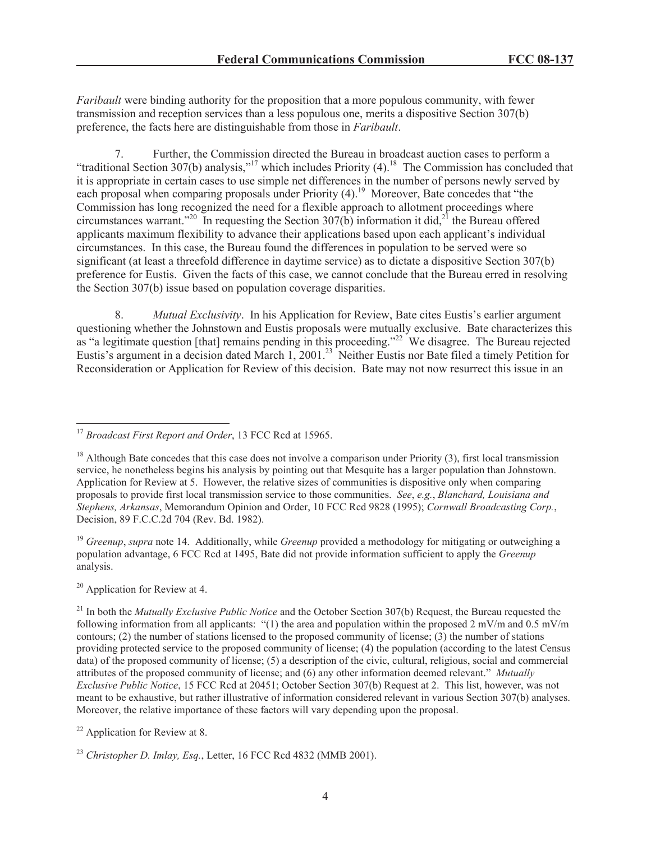*Faribault* were binding authority for the proposition that a more populous community, with fewer transmission and reception services than a less populous one, merits a dispositive Section 307(b) preference, the facts here are distinguishable from those in *Faribault*.

7. Further, the Commission directed the Bureau in broadcast auction cases to perform a "traditional Section 307(b) analysis,"<sup>17</sup> which includes Priority  $(4)$ .<sup>18</sup> The Commission has concluded that it is appropriate in certain cases to use simple net differences in the number of persons newly served by each proposal when comparing proposals under Priority (4).<sup>19</sup> Moreover, Bate concedes that "the Commission has long recognized the need for a flexible approach to allotment proceedings where circumstances warrant.<sup>220</sup> In requesting the Section 307(b) information it did,<sup>21</sup> the Bureau offered applicants maximum flexibility to advance their applications based upon each applicant's individual circumstances. In this case, the Bureau found the differences in population to be served were so significant (at least a threefold difference in daytime service) as to dictate a dispositive Section 307(b) preference for Eustis. Given the facts of this case, we cannot conclude that the Bureau erred in resolving the Section 307(b) issue based on population coverage disparities.

8. *Mutual Exclusivity*. In his Application for Review, Bate cites Eustis's earlier argument questioning whether the Johnstown and Eustis proposals were mutually exclusive. Bate characterizes this as "a legitimate question [that] remains pending in this proceeding."<sup>22</sup> We disagree. The Bureau rejected Eustis's argument in a decision dated March 1, 2001.<sup>23</sup> Neither Eustis nor Bate filed a timely Petition for Reconsideration or Application for Review of this decision. Bate may not now resurrect this issue in an

<sup>19</sup> *Greenup*, *supra* note 14. Additionally, while *Greenup* provided a methodology for mitigating or outweighing a population advantage, 6 FCC Rcd at 1495, Bate did not provide information sufficient to apply the *Greenup* analysis.

 $20$  Application for Review at 4.

<sup>17</sup> *Broadcast First Report and Order*, 13 FCC Rcd at 15965.

 $18$  Although Bate concedes that this case does not involve a comparison under Priority (3), first local transmission service, he nonetheless begins his analysis by pointing out that Mesquite has a larger population than Johnstown. Application for Review at 5. However, the relative sizes of communities is dispositive only when comparing proposals to provide first local transmission service to those communities. *See*, *e.g.*, *Blanchard, Louisiana and Stephens, Arkansas*, Memorandum Opinion and Order, 10 FCC Rcd 9828 (1995); *Cornwall Broadcasting Corp.*, Decision, 89 F.C.C.2d 704 (Rev. Bd. 1982).

<sup>21</sup> In both the *Mutually Exclusive Public Notice* and the October Section 307(b) Request, the Bureau requested the following information from all applicants: "(1) the area and population within the proposed 2 mV/m and 0.5 mV/m contours; (2) the number of stations licensed to the proposed community of license; (3) the number of stations providing protected service to the proposed community of license; (4) the population (according to the latest Census data) of the proposed community of license; (5) a description of the civic, cultural, religious, social and commercial attributes of the proposed community of license; and (6) any other information deemed relevant." *Mutually Exclusive Public Notice*, 15 FCC Rcd at 20451; October Section 307(b) Request at 2. This list, however, was not meant to be exhaustive, but rather illustrative of information considered relevant in various Section 307(b) analyses. Moreover, the relative importance of these factors will vary depending upon the proposal.

 $22$  Application for Review at 8.

<sup>23</sup> *Christopher D. Imlay, Esq.*, Letter, 16 FCC Rcd 4832 (MMB 2001).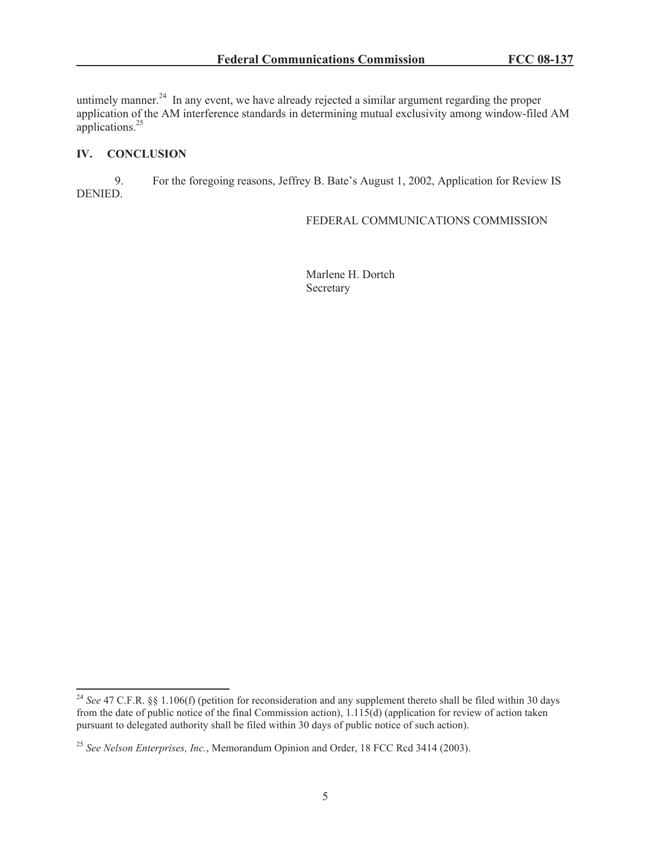untimely manner.<sup>24</sup> In any event, we have already rejected a similar argument regarding the proper application of the AM interference standards in determining mutual exclusivity among window-filed AM applications. $^{25}$ 

# **IV. CONCLUSION**

9. For the foregoing reasons, Jeffrey B. Bate's August 1, 2002, Application for Review IS DENIED.

#### FEDERAL COMMUNICATIONS COMMISSION

Marlene H. Dortch Secretary

<sup>&</sup>lt;sup>24</sup> See 47 C.F.R. §§ 1.106(f) (petition for reconsideration and any supplement thereto shall be filed within 30 days from the date of public notice of the final Commission action), 1.115(d) (application for review of action taken pursuant to delegated authority shall be filed within 30 days of public notice of such action).

<sup>25</sup> *See Nelson Enterprises, Inc.*, Memorandum Opinion and Order, 18 FCC Rcd 3414 (2003).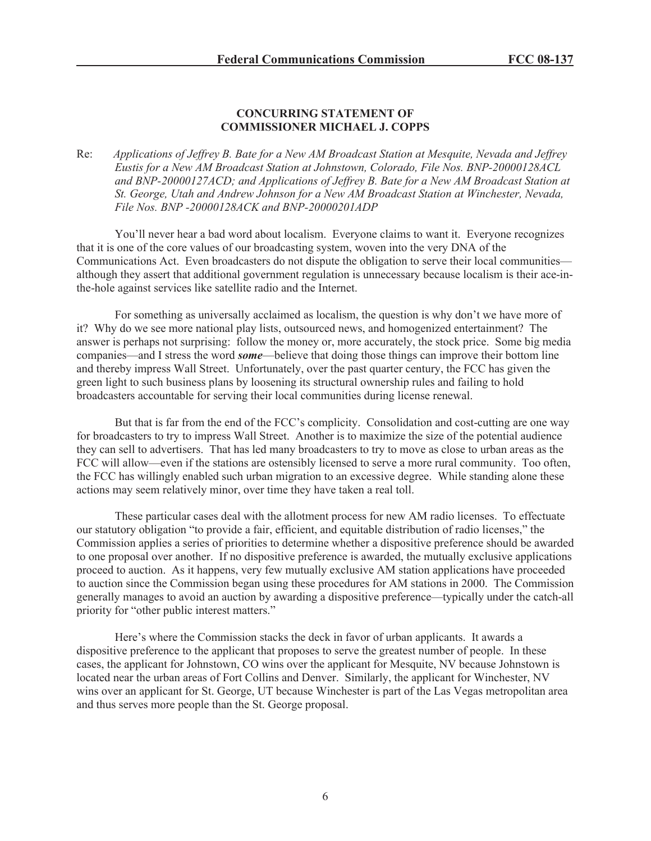#### **CONCURRING STATEMENT OF COMMISSIONER MICHAEL J. COPPS**

Re: *Applications of Jeffrey B. Bate for a New AM Broadcast Station at Mesquite, Nevada and Jeffrey Eustis for a New AM Broadcast Station at Johnstown, Colorado, File Nos. BNP-20000128ACL and BNP-20000127ACD; and Applications of Jeffrey B. Bate for a New AM Broadcast Station at St. George, Utah and Andrew Johnson for a New AM Broadcast Station at Winchester, Nevada, File Nos. BNP -20000128ACK and BNP-20000201ADP*

You'll never hear a bad word about localism. Everyone claims to want it. Everyone recognizes that it is one of the core values of our broadcasting system, woven into the very DNA of the Communications Act. Even broadcasters do not dispute the obligation to serve their local communities although they assert that additional government regulation is unnecessary because localism is their ace-inthe-hole against services like satellite radio and the Internet.

For something as universally acclaimed as localism, the question is why don't we have more of it? Why do we see more national play lists, outsourced news, and homogenized entertainment? The answer is perhaps not surprising: follow the money or, more accurately, the stock price. Some big media companies—and I stress the word *some*—believe that doing those things can improve their bottom line and thereby impress Wall Street. Unfortunately, over the past quarter century, the FCC has given the green light to such business plans by loosening its structural ownership rules and failing to hold broadcasters accountable for serving their local communities during license renewal.

But that is far from the end of the FCC's complicity. Consolidation and cost-cutting are one way for broadcasters to try to impress Wall Street. Another is to maximize the size of the potential audience they can sell to advertisers. That has led many broadcasters to try to move as close to urban areas as the FCC will allow—even if the stations are ostensibly licensed to serve a more rural community. Too often, the FCC has willingly enabled such urban migration to an excessive degree. While standing alone these actions may seem relatively minor, over time they have taken a real toll.

These particular cases deal with the allotment process for new AM radio licenses. To effectuate our statutory obligation "to provide a fair, efficient, and equitable distribution of radio licenses," the Commission applies a series of priorities to determine whether a dispositive preference should be awarded to one proposal over another. If no dispositive preference is awarded, the mutually exclusive applications proceed to auction. As it happens, very few mutually exclusive AM station applications have proceeded to auction since the Commission began using these procedures for AM stations in 2000. The Commission generally manages to avoid an auction by awarding a dispositive preference—typically under the catch-all priority for "other public interest matters."

Here's where the Commission stacks the deck in favor of urban applicants. It awards a dispositive preference to the applicant that proposes to serve the greatest number of people. In these cases, the applicant for Johnstown, CO wins over the applicant for Mesquite, NV because Johnstown is located near the urban areas of Fort Collins and Denver. Similarly, the applicant for Winchester, NV wins over an applicant for St. George, UT because Winchester is part of the Las Vegas metropolitan area and thus serves more people than the St. George proposal.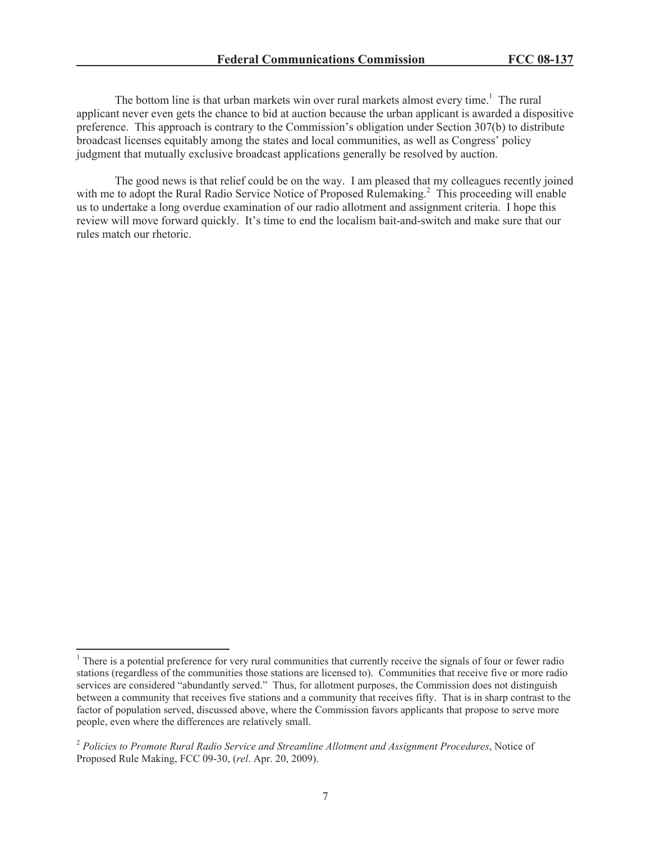The bottom line is that urban markets win over rural markets almost every time.<sup>1</sup> The rural applicant never even gets the chance to bid at auction because the urban applicant is awarded a dispositive preference. This approach is contrary to the Commission's obligation under Section 307(b) to distribute broadcast licenses equitably among the states and local communities, as well as Congress' policy judgment that mutually exclusive broadcast applications generally be resolved by auction.

The good news is that relief could be on the way. I am pleased that my colleagues recently joined with me to adopt the Rural Radio Service Notice of Proposed Rulemaking.<sup>2</sup> This proceeding will enable us to undertake a long overdue examination of our radio allotment and assignment criteria. I hope this review will move forward quickly. It's time to end the localism bait-and-switch and make sure that our rules match our rhetoric.

<sup>&</sup>lt;sup>1</sup> There is a potential preference for very rural communities that currently receive the signals of four or fewer radio stations (regardless of the communities those stations are licensed to). Communities that receive five or more radio services are considered "abundantly served." Thus, for allotment purposes, the Commission does not distinguish between a community that receives five stations and a community that receives fifty. That is in sharp contrast to the factor of population served, discussed above, where the Commission favors applicants that propose to serve more people, even where the differences are relatively small.

<sup>2</sup> *Policies to Promote Rural Radio Service and Streamline Allotment and Assignment Procedures*, Notice of Proposed Rule Making, FCC 09-30, (*rel*. Apr. 20, 2009).